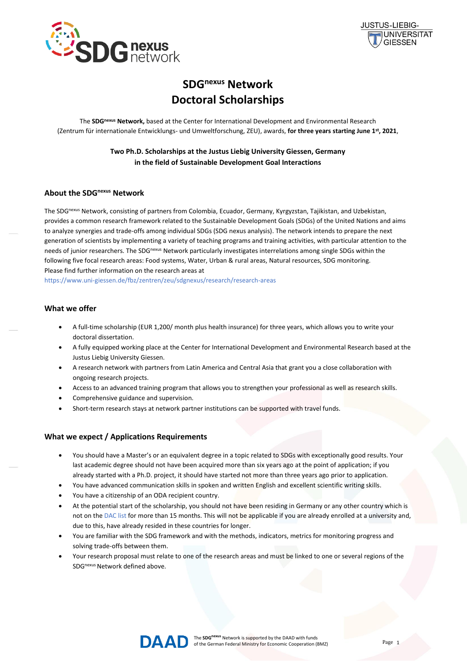



# **SDGnexus Network Doctoral Scholarships**

The **SDGnexus Network,** based at the Center for International Development and Environmental Research (Zentrum für internationale Entwicklungs- und Umweltforschung, ZEU), awards, **for three years starting June 1st, 2021**,

> **Two Ph.D. Scholarships at the Justus Liebig University Giessen, Germany in the field of Sustainable Development Goal Interactions**

## **About the SDGnexus Network**

The SDGnexus Network, consisting of partners from Colombia, Ecuador, Germany, Kyrgyzstan, Tajikistan, and Uzbekistan, provides a common research framework related to the Sustainable Development Goals (SDGs) of the United Nations and aims to analyze synergies and trade-offs among individual SDGs (SDG nexus analysis). The network intends to prepare the next generation of scientists by implementing a variety of teaching programs and training activities, with particular attention to the needs of junior researchers. The SDG<sup>nexus</sup> Network particularly investigates interrelations among single SDGs within the following five focal research areas: Food systems, Water, Urban & rural areas, Natural resources, SDG monitoring. Please find further information on the research areas at

<https://www.uni-giessen.de/fbz/zentren/zeu/sdgnexus/research/research-areas>

#### **What we offer**

- A full-time scholarship (EUR 1,200/ month plus health insurance) for three years, which allows you to write your doctoral dissertation.
- A fully equipped working place at the Center for International Development and Environmental Research based at the Justus Liebig University Giessen.
- A research network with partners from Latin America and Central Asia that grant you a close collaboration with ongoing research projects.
- Access to an advanced training program that allows you to strengthen your professional as well as research skills.
- Comprehensive guidance and supervision.
- Short-term research stays at network partner institutions can be supported with travel funds.

#### **What we expect / Applications Requirements**

- You should have a Master's or an equivalent degree in a topic related to SDGs with exceptionally good results. Your last academic degree should not have been acquired more than six years ago at the point of application; if you already started with a Ph.D. project, it should have started not more than three years ago prior to application.
- You have advanced communication skills in spoken and written English and excellent scientific writing skills.
- You have a citizenship of an ODA recipient country.
- At the potential start of the scholarship, you should not have been residing in Germany or any other country which is not on the [DAC list](https://www.bmz.de/de/zentrales_downloadarchiv/Ministerium/ODA/DAC_Laenderliste_Berichtsjahr_2021.pdf) for more than 15 months. This will not be applicable if you are already enrolled at a university and, due to this, have already resided in these countries for longer.
- You are familiar with the SDG framework and with the methods, indicators, metrics for monitoring progress and solving trade-offs between them.
- Your research proposal must relate to one of the research areas and must be linked to one or several regions of the SDGnexus Network defined above.